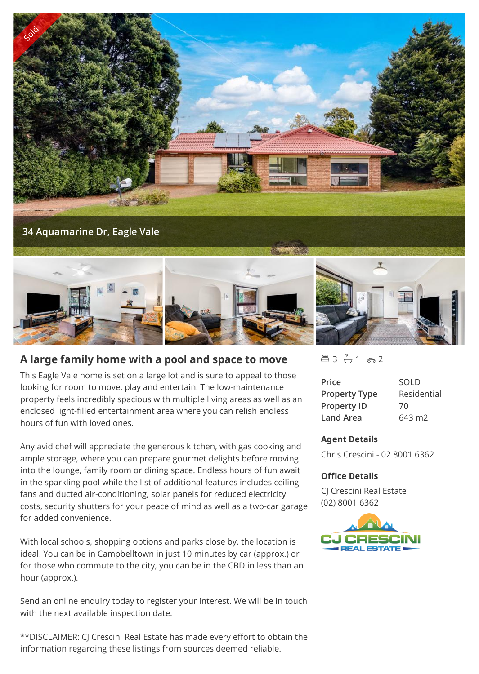



## **A large family home with a pool and space to move**

This Eagle Vale home is set on a large lot and is sure to appeal to those looking for room to move, play and entertain. The low-maintenance property feels incredibly spacious with multiple living areas as well as an enclosed light-filled entertainment area where you can relish endless hours of fun with loved ones.

Any avid chef will appreciate the generous kitchen, with gas cooking and ample storage, where you can prepare gourmet delights before moving into the lounge, family room or dining space. Endless hours of fun await in the sparkling pool while the list of additional features includes ceiling fans and ducted air-conditioning, solar panels for reduced electricity costs, security shutters for your peace of mind as well as a two-car garage for added convenience.

With local schools, shopping options and parks close by, the location is ideal. You can be in Campbelltown in just 10 minutes by car (approx.) or for those who commute to the city, you can be in the CBD in less than an hour (approx.).

Send an online enquiry today to register your interest. We will be in touch with the next available inspection date.

\*\*DISCLAIMER: CJ Crescini Real Estate has made every effort to obtain the information regarding these listings from sources deemed reliable.

 $43 - 1 - 2$ 

| Price                | <b>SOLD</b> |
|----------------------|-------------|
| <b>Property Type</b> | Residential |
| <b>Property ID</b>   | 70          |
| Land Area            | 643 m2      |

## **Agent Details**

Chris Crescini - 02 8001 6362

## **Office Details**

CJ Crescini Real Estate (02) 8001 6362